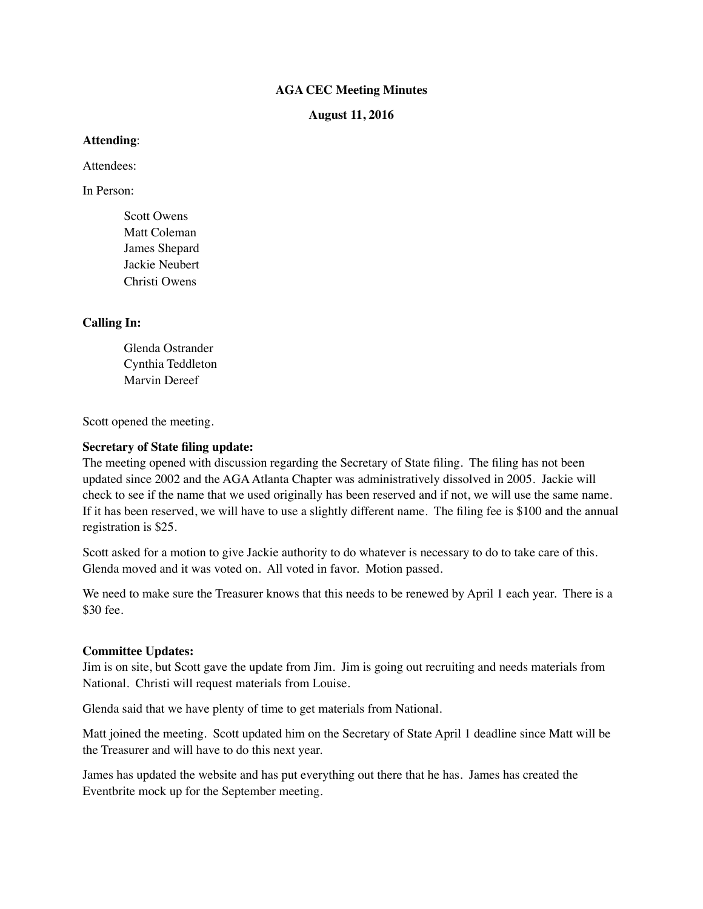### **AGA CEC Meeting Minutes**

**August 11, 2016**

### **Attending**:

Attendees:

In Person:

Scott Owens Matt Coleman James Shepard Jackie Neubert Christi Owens

## **Calling In:**

Glenda Ostrander Cynthia Teddleton Marvin Dereef

Scott opened the meeting.

### **Secretary of State filing update:**

The meeting opened with discussion regarding the Secretary of State filing. The filing has not been updated since 2002 and the AGA Atlanta Chapter was administratively dissolved in 2005. Jackie will check to see if the name that we used originally has been reserved and if not, we will use the same name. If it has been reserved, we will have to use a slightly different name. The filing fee is \$100 and the annual registration is \$25.

Scott asked for a motion to give Jackie authority to do whatever is necessary to do to take care of this. Glenda moved and it was voted on. All voted in favor. Motion passed.

We need to make sure the Treasurer knows that this needs to be renewed by April 1 each year. There is a \$30 fee.

### **Committee Updates:**

Jim is on site, but Scott gave the update from Jim. Jim is going out recruiting and needs materials from National. Christi will request materials from Louise.

Glenda said that we have plenty of time to get materials from National.

Matt joined the meeting. Scott updated him on the Secretary of State April 1 deadline since Matt will be the Treasurer and will have to do this next year.

James has updated the website and has put everything out there that he has. James has created the Eventbrite mock up for the September meeting.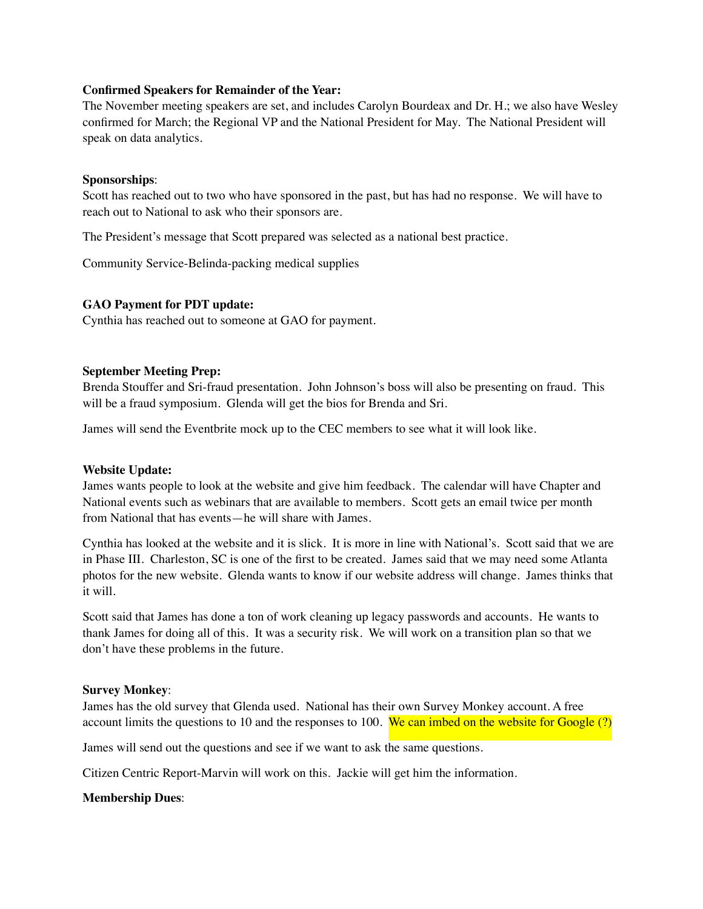### **Confirmed Speakers for Remainder of the Year:**

The November meeting speakers are set, and includes Carolyn Bourdeax and Dr. H.; we also have Wesley confirmed for March; the Regional VP and the National President for May. The National President will speak on data analytics.

### **Sponsorships**:

Scott has reached out to two who have sponsored in the past, but has had no response. We will have to reach out to National to ask who their sponsors are.

The President's message that Scott prepared was selected as a national best practice.

Community Service-Belinda-packing medical supplies

## **GAO Payment for PDT update:**

Cynthia has reached out to someone at GAO for payment.

### **September Meeting Prep:**

Brenda Stouffer and Sri-fraud presentation. John Johnson's boss will also be presenting on fraud. This will be a fraud symposium. Glenda will get the bios for Brenda and Sri.

James will send the Eventbrite mock up to the CEC members to see what it will look like.

## **Website Update:**

James wants people to look at the website and give him feedback. The calendar will have Chapter and National events such as webinars that are available to members. Scott gets an email twice per month from National that has events—he will share with James.

Cynthia has looked at the website and it is slick. It is more in line with National's. Scott said that we are in Phase III. Charleston, SC is one of the first to be created. James said that we may need some Atlanta photos for the new website. Glenda wants to know if our website address will change. James thinks that it will.

Scott said that James has done a ton of work cleaning up legacy passwords and accounts. He wants to thank James for doing all of this. It was a security risk. We will work on a transition plan so that we don't have these problems in the future.

### **Survey Monkey**:

James has the old survey that Glenda used. National has their own Survey Monkey account. A free account limits the questions to 10 and the responses to 100. We can imbed on the website for Google  $(?)$ 

James will send out the questions and see if we want to ask the same questions.

Citizen Centric Report-Marvin will work on this. Jackie will get him the information.

## **Membership Dues**: